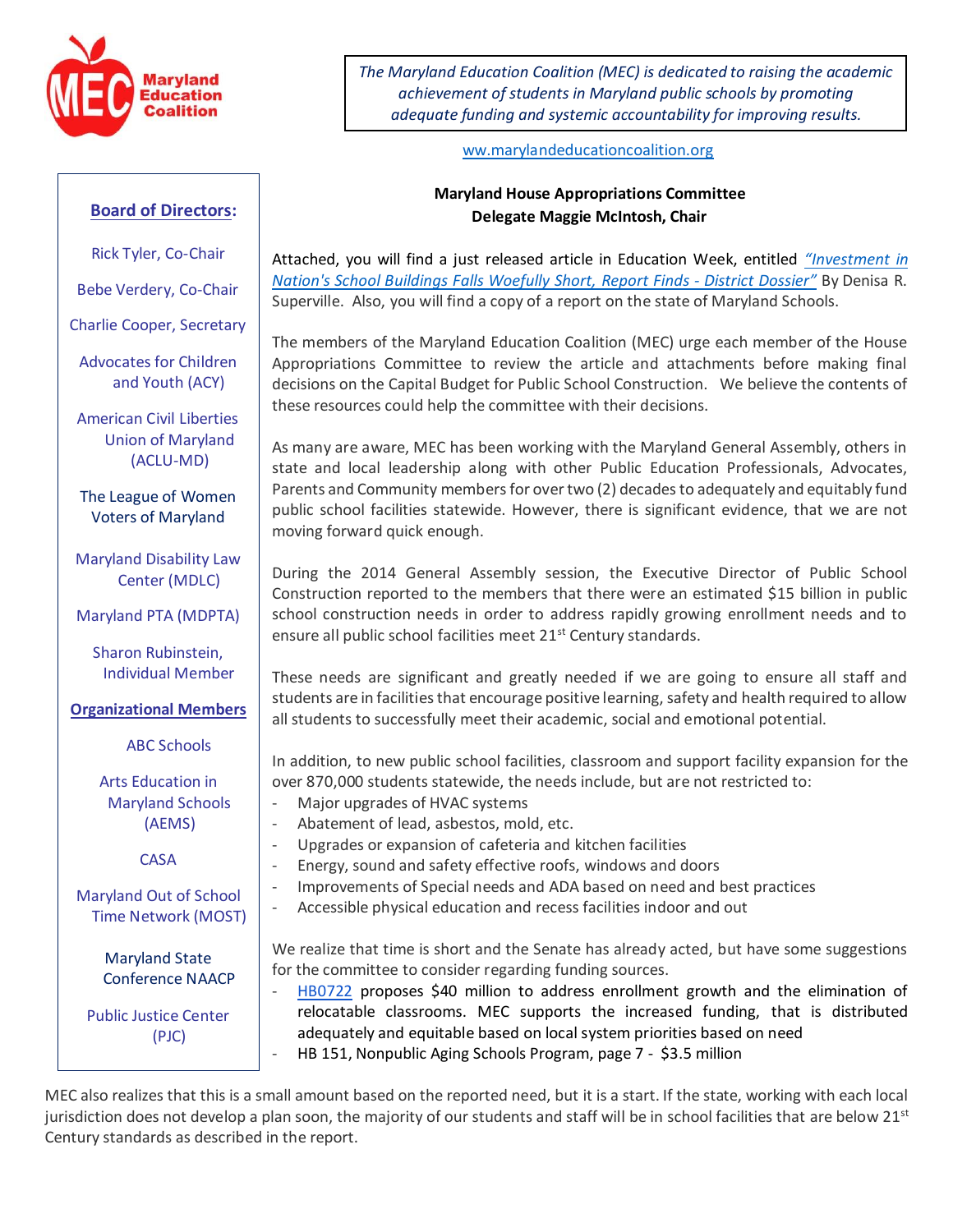

*The Maryland Education Coalition (MEC) is dedicated to raising the academic achievement of students in Maryland public schools by promoting adequate funding and systemic accountability for improving results.*

## [ww.marylandeducationcoalition.org](file:///C:/Users/Richard/Documents/Custom%20Office%20Templates/ww.marylandeducationcoalition.org)

## **Board of Directors:**

Rick Tyler, Co-Chair

Bebe Verdery, Co-Chair

Charlie Cooper, Secretary

Advocates for Children and Youth (ACY)

American Civil Liberties Union of Maryland (ACLU-MD)

The League of Women Voters of Maryland

Maryland Disability Law Center (MDLC)

Maryland PTA (MDPTA)

Sharon Rubinstein, Individual Member

**Organizational Members**

ABC Schools

Arts Education in Maryland Schools (AEMS)

CASA

Maryland Out of School Time Network (MOST)

> Maryland State Conference NAACP

Public Justice Center (PJC)

**Maryland House Appropriations Committee Delegate Maggie McIntosh, Chair**

Attached, you will find a just released article in Education Week, entitled *"[Investment in](http://blogs.edweek.org/edweek/District_Dossier/2016/03/k-12_facilities_funding_faces_.html?cmp=eml-enl-eu-news2)  [Nation's School Buildings Falls Woefully Short, Report Finds -](http://blogs.edweek.org/edweek/District_Dossier/2016/03/k-12_facilities_funding_faces_.html?cmp=eml-enl-eu-news2) District Dossier"* By Denisa R. Superville. Also, you will find a copy of a report on the state of Maryland Schools.

The members of the Maryland Education Coalition (MEC) urge each member of the House Appropriations Committee to review the article and attachments before making final decisions on the Capital Budget for Public School Construction. We believe the contents of these resources could help the committee with their decisions.

As many are aware, MEC has been working with the Maryland General Assembly, others in state and local leadership along with other Public Education Professionals, Advocates, Parents and Community members for over two (2) decades to adequately and equitably fund public school facilities statewide. However, there is significant evidence, that we are not moving forward quick enough.

During the 2014 General Assembly session, the Executive Director of Public School Construction reported to the members that there were an estimated \$15 billion in public school construction needs in order to address rapidly growing enrollment needs and to ensure all public school facilities meet 21<sup>st</sup> Century standards.

These needs are significant and greatly needed if we are going to ensure all staff and students are in facilities that encourage positive learning, safety and health required to allow all students to successfully meet their academic, social and emotional potential.

In addition, to new public school facilities, classroom and support facility expansion for the over 870,000 students statewide, the needs include, but are not restricted to:

- Major upgrades of HVAC systems
- Abatement of lead, asbestos, mold, etc.
- Upgrades or expansion of cafeteria and kitchen facilities
- Energy, sound and safety effective roofs, windows and doors
- Improvements of Special needs and ADA based on need and best practices
- Accessible physical education and recess facilities indoor and out

We realize that time is short and the Senate has already acted, but have some suggestions for the committee to consider regarding funding sources.

[HB0722](http://mgaleg.maryland.gov/webmga/frmMain.aspx?pid=billpage&tab=subject3&id=hb0722&stab=01&ys=2016RS) proposes \$40 million to address enrollment growth and the elimination of relocatable classrooms. MEC supports the increased funding, that is distributed adequately and equitable based on local system priorities based on need - HB 151, Nonpublic Aging Schools Program, page 7 - \$3.5 million

MEC also realizes that this is a small amount based on the reported need, but it is a start. If the state, working with each local jurisdiction does not develop a plan soon, the majority of our students and staff will be in school facilities that are below 21st Century standards as described in the report.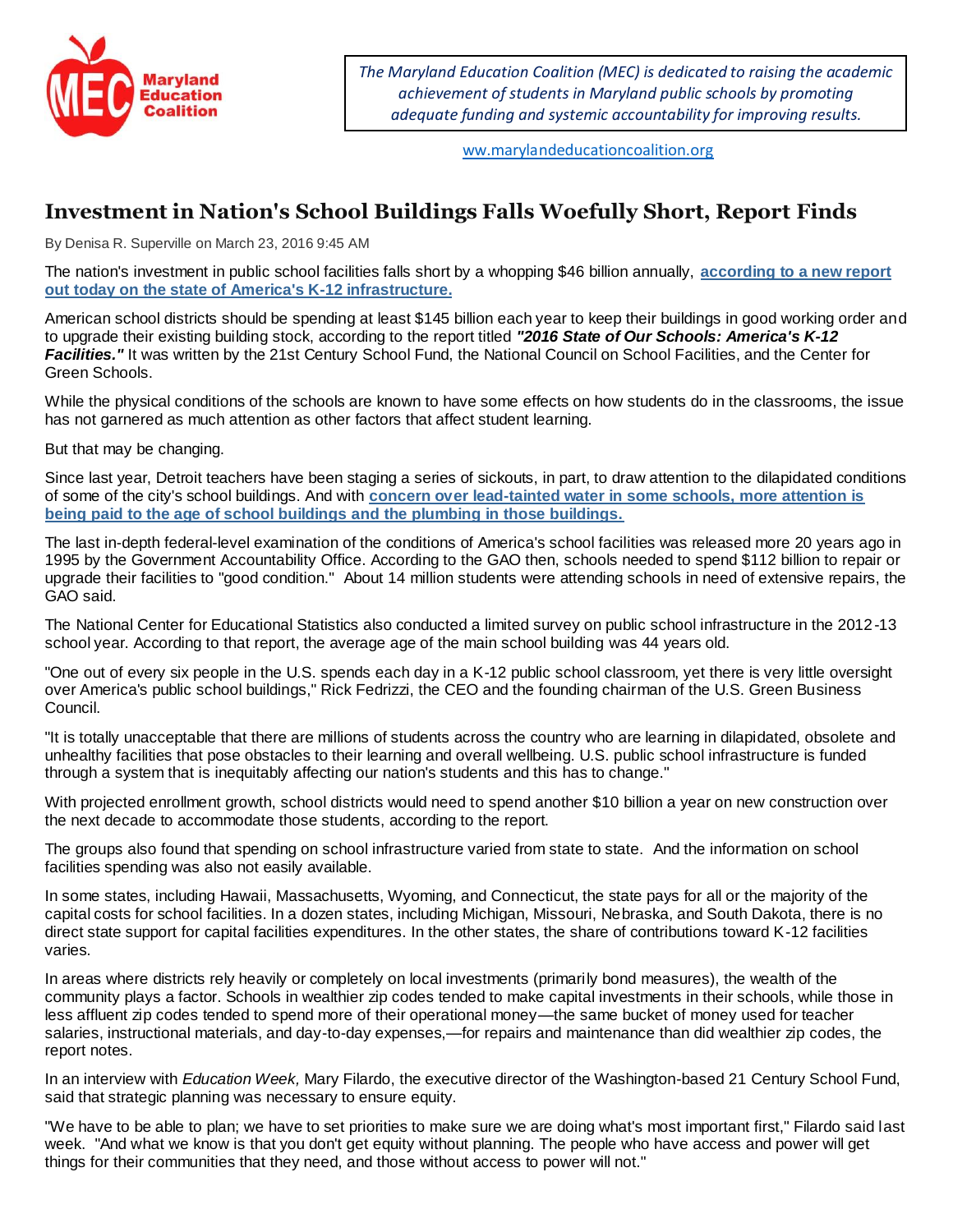

*The Maryland Education Coalition (MEC) is dedicated to raising the academic achievement of students in Maryland public schools by promoting adequate funding and systemic accountability for improving results.*

[ww.marylandeducationcoalition.org](file:///C:/Users/Richard/Documents/Custom%20Office%20Templates/ww.marylandeducationcoalition.org)

## **Investment in Nation's School Buildings Falls Woefully Short, Report Finds**

By Denisa R. Superville on March 23, 2016 9:45 AM

The nation's investment in public school facilities falls short by a whopping \$46 billion annually, **[according to a new report](http://centerforgreenschools.org/state-our-schools)  [out today on the state of America's K-12 infrastructure.](http://centerforgreenschools.org/state-our-schools)**

American school districts should be spending at least \$145 billion each year to keep their buildings in good working order and to upgrade their existing building stock, according to the report titled *"2016 State of Our Schools: America's K-12*  Facilities." It was written by the 21st Century School Fund, the National Council on School Facilities, and the Center for Green Schools.

While the physical conditions of the schools are known to have some effects on how students do in the classrooms, the issue has not garnered as much attention as other factors that affect student learning.

But that may be changing.

Since last year, Detroit teachers have been staging a series of sickouts, in part, to draw attention to the dilapidated conditions of some of the city's school buildings. And with **[concern over lead-tainted water in some schools, more attention is](http://www.edweek.org/ew/articles/2016/03/21/after-flint-new-scrutiny-of-schools-drinking.html)  [being paid to the age of school buildings and the plumbing in those buildings.](http://www.edweek.org/ew/articles/2016/03/21/after-flint-new-scrutiny-of-schools-drinking.html)**

The last in-depth federal-level examination of the conditions of America's school facilities was released more 20 years ago in 1995 by the Government Accountability Office. According to the GAO then, schools needed to spend \$112 billion to repair or upgrade their facilities to "good condition." About 14 million students were attending schools in need of extensive repairs, the GAO said.

The National Center for Educational Statistics also conducted a limited survey on public school infrastructure in the 2012-13 school year. According to that report, the average age of the main school building was 44 years old.

"One out of every six people in the U.S. spends each day in a K-12 public school classroom, yet there is very little oversight over America's public school buildings," Rick Fedrizzi, the CEO and the founding chairman of the U.S. Green Business Council.

"It is totally unacceptable that there are millions of students across the country who are learning in dilapidated, obsolete and unhealthy facilities that pose obstacles to their learning and overall wellbeing. U.S. public school infrastructure is funded through a system that is inequitably affecting our nation's students and this has to change."

With projected enrollment growth, school districts would need to spend another \$10 billion a year on new construction over the next decade to accommodate those students, according to the report.

The groups also found that spending on school infrastructure varied from state to state. And the information on school facilities spending was also not easily available.

In some states, including Hawaii, Massachusetts, Wyoming, and Connecticut, the state pays for all or the majority of the capital costs for school facilities. In a dozen states, including Michigan, Missouri, Nebraska, and South Dakota, there is no direct state support for capital facilities expenditures. In the other states, the share of contributions toward K-12 facilities varies.

In areas where districts rely heavily or completely on local investments (primarily bond measures), the wealth of the community plays a factor. Schools in wealthier zip codes tended to make capital investments in their schools, while those in less affluent zip codes tended to spend more of their operational money—the same bucket of money used for teacher salaries, instructional materials, and day-to-day expenses,—for repairs and maintenance than did wealthier zip codes, the report notes.

In an interview with *Education Week,* Mary Filardo, the executive director of the Washington-based 21 Century School Fund, said that strategic planning was necessary to ensure equity.

"We have to be able to plan; we have to set priorities to make sure we are doing what's most important first," Filardo said last week. "And what we know is that you don't get equity without planning. The people who have access and power will get things for their communities that they need, and those without access to power will not."